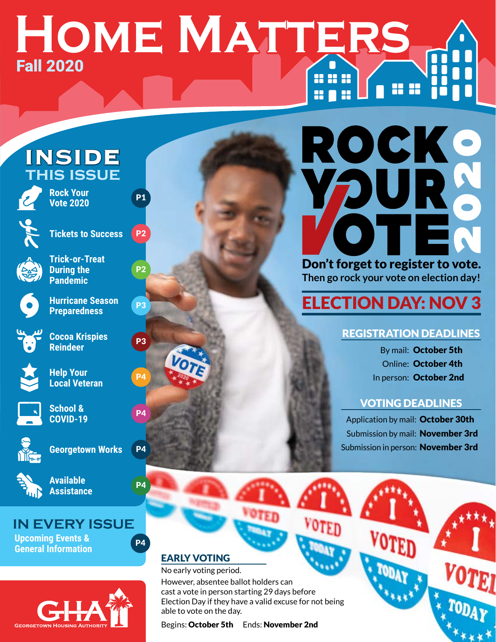# **Home Matters** Fall 2020 888 **HO 11**

# INSIDE **this issue**



**Rock Your Vote 2020**



**Tickets to Success P2** 



**Trick-or-Treat During the Pandemic**



**Preparedness**



**Cocoa Krispies P3 Reindeer**





**Help Your Local Veteran** P4



**School &**<br> **P4 P4 COVID-19**



**Georgetown Works** P4



**Available P4 Assistance**

# **IN EVERY ISSUE**

**Upcoming Events & General Information**





P2

# ROCKO Don't forget to register to vote.

**Then go rock your vote on election day!**

# **Parameter Season P3 ELECTION DAY: NOV 3**

# REGISTRATION DEADLINES

By mail: October 5th Online: October 4th In person: October 2nd

## VOTING DEADLINES

Application by mail: October 30th Submission by mail: November 3rd Submission in person: November 3rd

# EARLY VOTING

No early voting period. However, absentee ballot holders can cast a vote in person starting 29 days before Election Day if they have a valid excuse for not being able to vote on the day.

Begins: October 5th Ends: November 2nd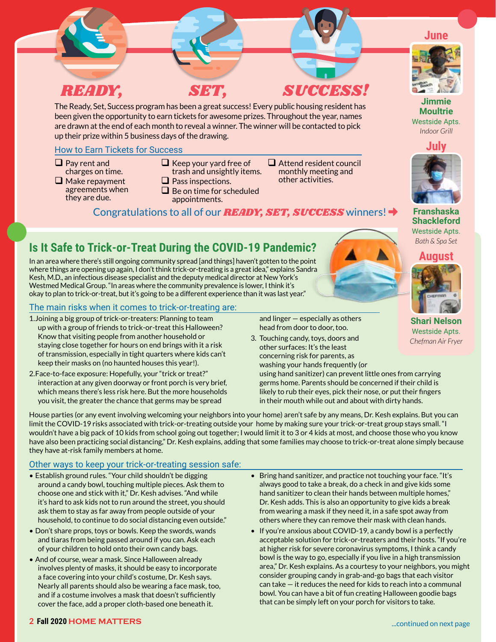

The Ready, Set, Success program has been a great success! Every public housing resident has been given the opportunity to earn tickets for awesome prizes. Throughout the year, names are drawn at the end of each month to reveal a winner. The winner will be contacted to pick up their prize within 5 business days of the drawing.

#### How to Earn Tickets for Success

- $\Box$  Pay rent and charges on time.
- $\Box$  Make repayment agreements when they are due.
- $\Box$  Keep your yard free of
- trash and unsightly items.  $\Box$  Pass inspections.
- 
- $\Box$  Be on time for scheduled appointments.

Congratulations to all of our *READY, SET, SUCCESS* winners!

**■** Attend resident council monthly meeting and other activities.



**Franshaska Shackleford**  Westside Apts. *Bath & Spa Set*

# **Is It Safe to Trick-or-Treat During the COVID-19 Pandemic?**

In an area where there's still ongoing community spread [and things] haven't gotten to the point where things are opening up again, I don't think trick-or-treating is a great idea," explains Sandra Kesh, M.D., an infectious disease specialist and the deputy medical director at New York's Westmed Medical Group. "In areas where the community prevalence is lower, I think it's okay to plan to trick-or-treat, but it's going to be a different experience than it was last year."

#### The main risks when it comes to trick-or-treating are:

- 1.Joining a big group of trick-or-treaters: Planning to team up with a group of friends to trick-or-treat this Halloween? Know that visiting people from another household or staying close together for hours on end brings with it a risk of transmission, especially in tight quarters where kids can't keep their masks on (no haunted houses this year!).
- 2.Face-to-face exposure: Hopefully, your "trick or treat?" interaction at any given doorway or front porch is very brief, which means there's less risk here. But the more households you visit, the greater the chance that germs may be spread

and linger — especially as others head from door to door, too.

3. Touching candy, toys, doors and other surfaces: It's the least concerning risk for parents, as washing your hands frequently (or

using hand sanitizer) can prevent little ones from carrying germs home. Parents should be concerned if their child is likely to rub their eyes, pick their nose, or put their fingers in their mouth while out and about with dirty hands.

House parties (or any event involving welcoming your neighbors into your home) aren't safe by any means, Dr. Kesh explains. But you can limit the COVID-19 risks associated with trick-or-treating outside your home by making sure your trick-or-treat group stays small. "I wouldn't have a big pack of 10 kids from school going out together; I would limit it to 3 or 4 kids at most, and choose those who you know have also been practicing social distancing," Dr. Kesh explains, adding that some families may choose to trick-or-treat alone simply because they have at-risk family members at home.

#### Other ways to keep your trick-or-treating session safe:

- Establish ground rules. "Your child shouldn't be digging around a candy bowl, touching multiple pieces. Ask them to choose one and stick with it," Dr. Kesh advises. "And while it's hard to ask kids not to run around the street, you should ask them to stay as far away from people outside of your household, to continue to do social distancing even outside."
- Don't share props, toys or bowls. Keep the swords, wands and tiaras from being passed around if you can. Ask each of your children to hold onto their own candy bags.
- And of course, wear a mask. Since Halloween already involves plenty of masks, it should be easy to incorporate a face covering into your child's costume, Dr. Kesh says. Nearly all parents should also be wearing a face mask, too, and if a costume involves a mask that doesn't sufficiently cover the face, add a proper cloth-based one beneath it.
- Bring hand sanitizer, and practice not touching your face. "It's always good to take a break, do a check in and give kids some hand sanitizer to clean their hands between multiple homes," Dr. Kesh adds. This is also an opportunity to give kids a break from wearing a mask if they need it, in a safe spot away from others where they can remove their mask with clean hands.
- If you're anxious about COVID-19, a candy bowl is a perfectly acceptable solution for trick-or-treaters and their hosts. "If you're at higher risk for severe coronavirus symptoms, I think a candy bowl is the way to go, especially if you live in a high transmission area," Dr. Kesh explains. As a courtesy to your neighbors, you might consider grouping candy in grab-and-go bags that each visitor can take — it reduces the need for kids to reach into a communal bowl. You can have a bit of fun creating Halloween goodie bags that can be simply left on your porch for visitors to take.

**June**

**Jimmie Moultrie**  Westside Apts.

> *Indoor Grill* **July**





**Shari Nelson** Westside Apts. *Chefman Air Fryer*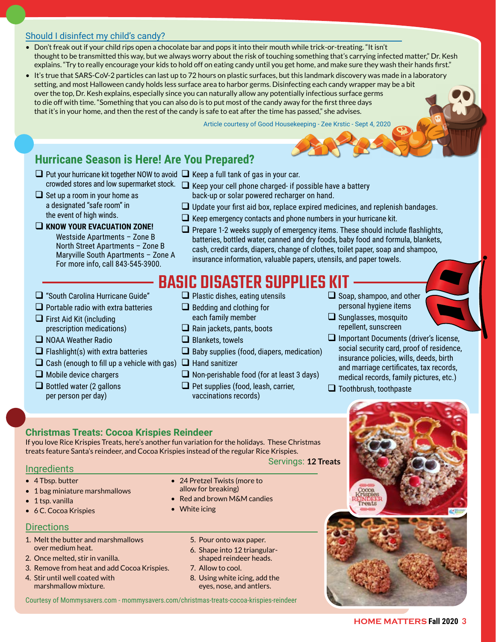#### Should I disinfect my child's candy?

- Don't freak out if your child rips open a chocolate bar and pops it into their mouth while trick-or-treating. "It isn't thought to be transmitted this way, but we always worry about the risk of touching something that's carrying infected matter," Dr. Kesh explains. "Try to really encourage your kids to hold off on eating candy until you get home, and make sure they wash their hands first."
- It's true that SARS-CoV-2 particles can last up to 72 hours on plastic surfaces, but this landmark discovery was made in a laboratory setting, and most Halloween candy holds less surface area to harbor germs. Disinfecting each candy wrapper may be a bit over the top, Dr. Kesh explains, especially since you can naturally allow any potentially infectious surface germs to die off with time. "Something that you can also do is to put most of the candy away for the first three days that it's in your home, and then the rest of the candy is safe to eat after the time has passed," she advises.

Article courtesy of Good Housekeeping - Zee Krstic - Sept 4, 2020

#### **Hurricane Season is Here! Are You Prepared?**

- $\Box$  Put your hurricane kit together NOW to avoid  $\Box$  Keep a full tank of gas in your car.
- crowded stores and low supermarket stock.  $\;\;\Box\;$  Keep your cell phone charged- if possible have a battery  $\Box$  Set up a room in your home as a designated "safe room" in the event of high winds.
	- back-up or solar powered recharger on hand.  $\Box$  Update your first aid box, replace expired medicines, and replenish bandages.
	- $\Box$  Keep emergency contacts and phone numbers in your hurricane kit.
- **KNOW YOUR EVACUATION ZONE!**

Westside Apartments – Zone B North Street Apartments – Zone B Maryville South Apartments – Zone A For more info, call 843-545-3900.

 $\Box$  Prepare 1-2 weeks supply of emergency items. These should include flashlights, batteries, bottled water, canned and dry foods, baby food and formula, blankets, cash, credit cards, diapers, change of clothes, toilet paper, soap and shampoo, insurance information, valuable papers, utensils, and paper towels.

# BASIC DISASTER SUPPLIES K

- □ "South Carolina Hurricane Guide"
- $\Box$  Portable radio with extra batteries
- $\Box$  First Aid Kit (including prescription medications)
- NOAA Weather Radio
- $\Box$  Flashlight(s) with extra batteries
- $\Box$  Cash (enough to fill up a vehicle with gas)  $\Box$  Hand sanitizer
- $\Box$  Mobile device chargers
- $\Box$  Bottled water (2 gallons per person per day)
- $\Box$  Plastic dishes, eating utensils
- $\Box$  Bedding and clothing for each family member
- $\Box$  Rain jackets, pants, boots
- $\square$  Blankets, towels
- $\Box$  Baby supplies (food, diapers, medication)
- 
- $\Box$  Non-perishable food (for at least 3 days)
- $\Box$  Pet supplies (food, leash, carrier, vaccinations records)
- $\Box$  Soap, shampoo, and other personal hygiene items
- $\Box$  Sunglasses, mosquito
- repellent, sunscreen
- $\Box$  Important Documents (driver's license, social security card, proof of residence, insurance policies, wills, deeds, birth and marriage certificates, tax records, medical records, family pictures, etc.)
- $\Box$  Toothbrush, toothpaste

# Servings: **12 Treats**

#### **Christmas Treats: Cocoa Krispies Reindeer**

If you love Rice Krispies Treats, here's another fun variation for the holidays. These Christmas treats feature Santa's reindeer, and Cocoa Krispies instead of the regular Rice Krispies.

**Ingredients** 

- 4 Tbsp. butter
- 1 bag miniature marshmallows
- 1 tsp. vanilla
- 6 C. Cocoa Krispies

#### **Directions**

- 1. Melt the butter and marshmallows over medium heat.
- 2. Once melted, stir in vanilla.
- 3. Remove from heat and add Cocoa Krispies.
- 4. Stir until well coated with marshmallow mixture.
- 24 Pretzel Twists (more to allow for breaking)
- Red and brown M&M candies
- White icing
	- 5. Pour onto wax paper.
	- 6. Shape into 12 triangularshaped reindeer heads.
	- 7. Allow to cool.
	- 8. Using white icing, add the eyes, nose, and antlers.

Courtesy of Mommysavers.com - mommysavers.com/christmas-treats-cocoa-krispies-reindeer